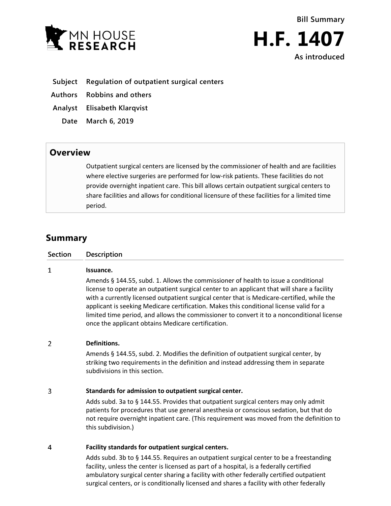



## **Subject Regulation of outpatient surgical centers**

**Authors Robbins and others**

**Analyst Elisabeth Klarqvist**

**Date March 6, 2019**

# **Overview**

Outpatient surgical centers are licensed by the commissioner of health and are facilities where elective surgeries are performed for low-risk patients. These facilities do not provide overnight inpatient care. This bill allows certain outpatient surgical centers to share facilities and allows for conditional licensure of these facilities for a limited time period.

# **Summary**

| <b>Section</b> | Description |
|----------------|-------------|
|                |             |

#### $\mathbf{1}$ **Issuance.**

Amends § 144.55, subd. 1. Allows the commissioner of health to issue a conditional license to operate an outpatient surgical center to an applicant that will share a facility with a currently licensed outpatient surgical center that is Medicare-certified, while the applicant is seeking Medicare certification. Makes this conditional license valid for a limited time period, and allows the commissioner to convert it to a nonconditional license once the applicant obtains Medicare certification.

#### $\overline{2}$ **Definitions.**

Amends § 144.55, subd. 2. Modifies the definition of outpatient surgical center, by striking two requirements in the definition and instead addressing them in separate subdivisions in this section.

#### $\overline{3}$ **Standards for admission to outpatient surgical center.**

Adds subd. 3a to  $\S$  144.55. Provides that outpatient surgical centers may only admit patients for procedures that use general anesthesia or conscious sedation, but that do not require overnight inpatient care. (This requirement was moved from the definition to this subdivision.)

#### $\overline{4}$ **Facility standards for outpatient surgical centers.**

Adds subd. 3b to § 144.55. Requires an outpatient surgical center to be a freestanding facility, unless the center is licensed as part of a hospital, is a federally certified ambulatory surgical center sharing a facility with other federally certified outpatient surgical centers, or is conditionally licensed and shares a facility with other federally